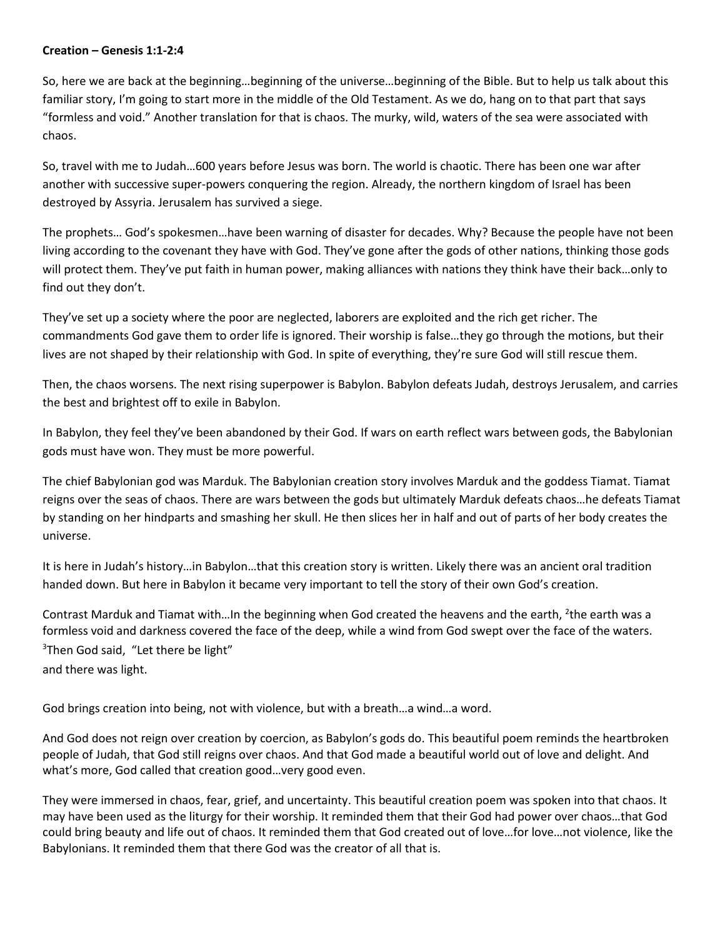## **Creation – Genesis 1:1-2:4**

So, here we are back at the beginning…beginning of the universe…beginning of the Bible. But to help us talk about this familiar story, I'm going to start more in the middle of the Old Testament. As we do, hang on to that part that says "formless and void." Another translation for that is chaos. The murky, wild, waters of the sea were associated with chaos.

So, travel with me to Judah…600 years before Jesus was born. The world is chaotic. There has been one war after another with successive super-powers conquering the region. Already, the northern kingdom of Israel has been destroyed by Assyria. Jerusalem has survived a siege.

The prophets… God's spokesmen…have been warning of disaster for decades. Why? Because the people have not been living according to the covenant they have with God. They've gone after the gods of other nations, thinking those gods will protect them. They've put faith in human power, making alliances with nations they think have their back…only to find out they don't.

They've set up a society where the poor are neglected, laborers are exploited and the rich get richer. The commandments God gave them to order life is ignored. Their worship is false…they go through the motions, but their lives are not shaped by their relationship with God. In spite of everything, they're sure God will still rescue them.

Then, the chaos worsens. The next rising superpower is Babylon. Babylon defeats Judah, destroys Jerusalem, and carries the best and brightest off to exile in Babylon.

In Babylon, they feel they've been abandoned by their God. If wars on earth reflect wars between gods, the Babylonian gods must have won. They must be more powerful.

The chief Babylonian god was Marduk. The Babylonian creation story involves Marduk and the goddess Tiamat. Tiamat reigns over the seas of chaos. There are wars between the gods but ultimately Marduk defeats chaos…he defeats Tiamat by standing on her hindparts and smashing her skull. He then slices her in half and out of parts of her body creates the universe.

It is here in Judah's history…in Babylon…that this creation story is written. Likely there was an ancient oral tradition handed down. But here in Babylon it became very important to tell the story of their own God's creation.

Contrast Marduk and Tiamat with...In the beginning when God created the heavens and the earth, <sup>2</sup>the earth was a formless void and darkness covered the face of the deep, while a wind from God swept over the face of the waters. <sup>3</sup>Then God said, "Let there be light"

and there was light.

God brings creation into being, not with violence, but with a breath…a wind…a word.

And God does not reign over creation by coercion, as Babylon's gods do. This beautiful poem reminds the heartbroken people of Judah, that God still reigns over chaos. And that God made a beautiful world out of love and delight. And what's more, God called that creation good…very good even.

They were immersed in chaos, fear, grief, and uncertainty. This beautiful creation poem was spoken into that chaos. It may have been used as the liturgy for their worship. It reminded them that their God had power over chaos…that God could bring beauty and life out of chaos. It reminded them that God created out of love…for love…not violence, like the Babylonians. It reminded them that there God was the creator of all that is.